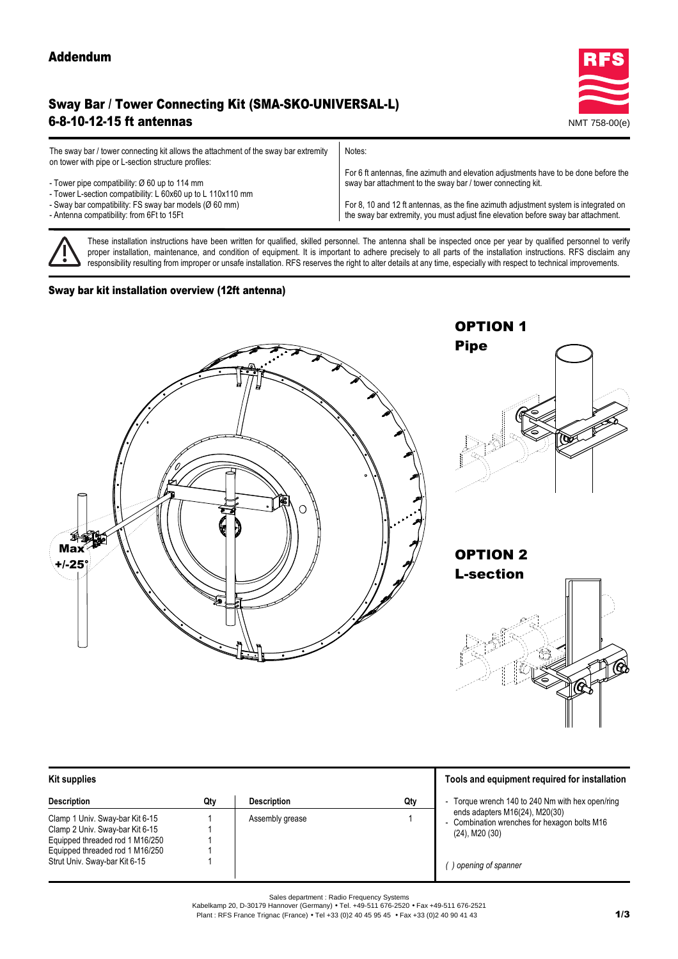## Sway Bar / Tower Connecting Kit (SMA-SKO-UNIVERSAL-L) **6-8-10-12-15 ft antennas** NMT 758-00(e)



| The sway bar / tower connecting kit allows the attachment of the sway bar extremity | Notes:                                                                               |
|-------------------------------------------------------------------------------------|--------------------------------------------------------------------------------------|
| on tower with pipe or L-section structure profiles:                                 |                                                                                      |
|                                                                                     | For 6 ft antennas, fine azimuth and elevation adjustments have to be done before the |
| - Tower pipe compatibility: $\varnothing$ 60 up to 114 mm                           | sway bar attachment to the sway bar / tower connecting kit.                          |
| - Tower L-section compatibility: L 60x60 up to L 110x110 mm                         |                                                                                      |
| - Sway bar compatibility: FS sway bar models (Ø 60 mm)                              | For 8, 10 and 12 ft antennas, as the fine azimuth adjustment system is integrated on |
| - Antenna compatibility: from 6Ft to 15Ft                                           | the sway bar extremity, you must adjust fine elevation before sway bar attachment.   |

These installation instructions have been written for qualified, skilled personnel. The antenna shall be inspected once per year by qualified personnel to verify proper installation, maintenance, and condition of equipment. It is important to adhere precisely to all parts of the installation instructions. RFS disclaim any responsibility resulting from improper or unsafe installation. RFS reserves the right to alter details at any time, especially with respect to technical improvements.

## Sway bar kit installation overview (12ft antenna)



| <b>Kit supplies</b>             |     |                    | Tools and equipment required for installation |                                                                                |
|---------------------------------|-----|--------------------|-----------------------------------------------|--------------------------------------------------------------------------------|
| <b>Description</b>              | Qtv | <b>Description</b> | Qty                                           | - Torque wrench 140 to 240 Nm with hex open/ring                               |
| Clamp 1 Univ. Sway-bar Kit 6-15 |     | Assembly grease    |                                               | ends adapters M16(24), M20(30)<br>- Combination wrenches for hexagon bolts M16 |
| Clamp 2 Univ. Sway-bar Kit 6-15 |     |                    |                                               | $(24)$ , M20 $(30)$                                                            |
| Equipped threaded rod 1 M16/250 |     |                    |                                               |                                                                                |
| Equipped threaded rod 1 M16/250 |     |                    |                                               |                                                                                |
| Strut Univ. Sway-bar Kit 6-15   |     |                    |                                               | ) opening of spanner                                                           |

Sales department : Radio Frequency Systems<br>Kabelkamp 20, D-30179 Hannover (Germany) ● Tel. +49-511 676-2520 ● Fax +49-511 676-2521<br>Plant : RFS France Trignac (France) ● Tel +33 (0)2 40 45 95 45 ● Fax +33 (0)2 40 90 41 43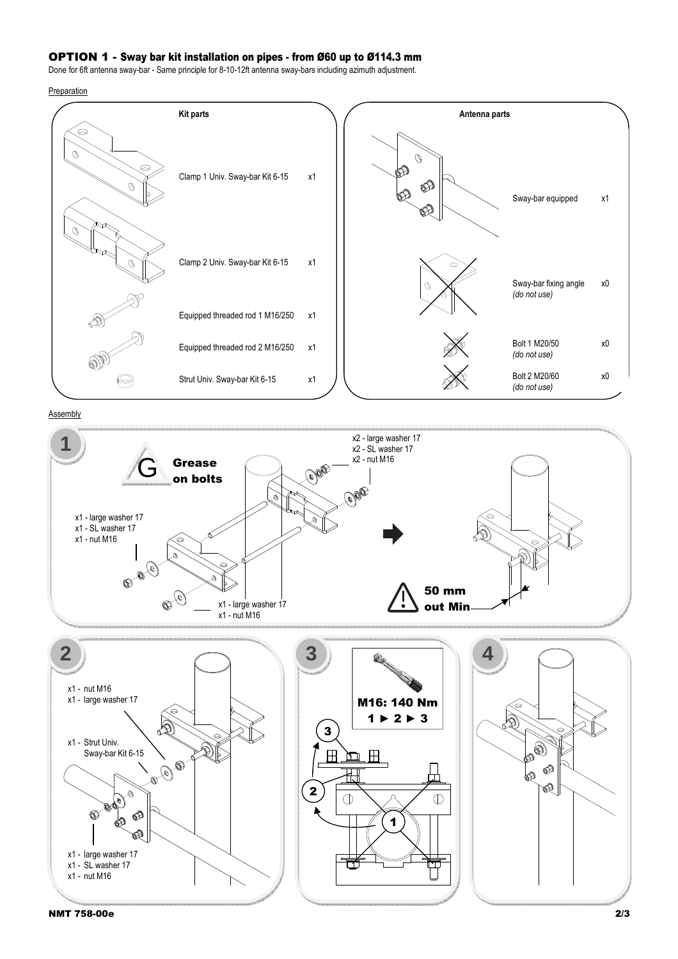## OPTION 1 - Sway bar kit installation on pipes - from Ø60 up to Ø114.3 mm

Done for 6ft antenna sway-bar - Same principle for 8-10-12ft antenna sway-bars including azimuth adjustment.

**Preparation** 



Assembly



1

 $\overline{\mathbb{C}}$ 





NMT 758-00e 2/3